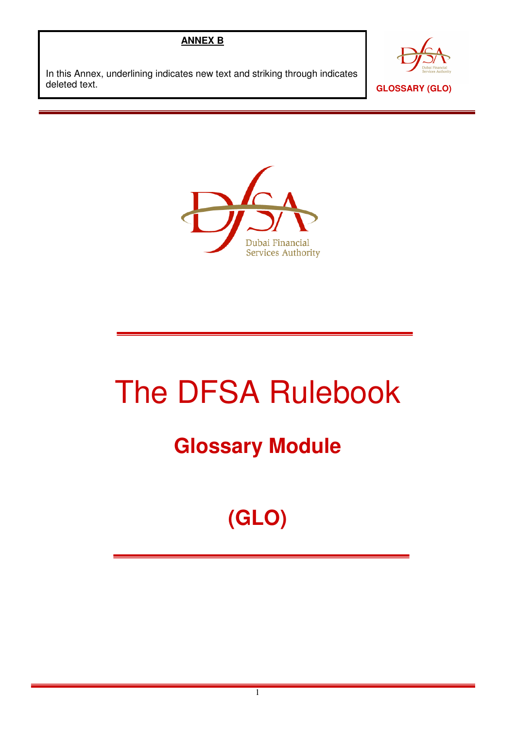## **ANNEX B**

In this Annex, underlining indicates new text and striking through indicates deleted text.





## The DFSA Rulebook

## **Glossary Module**

## **(GLO)**